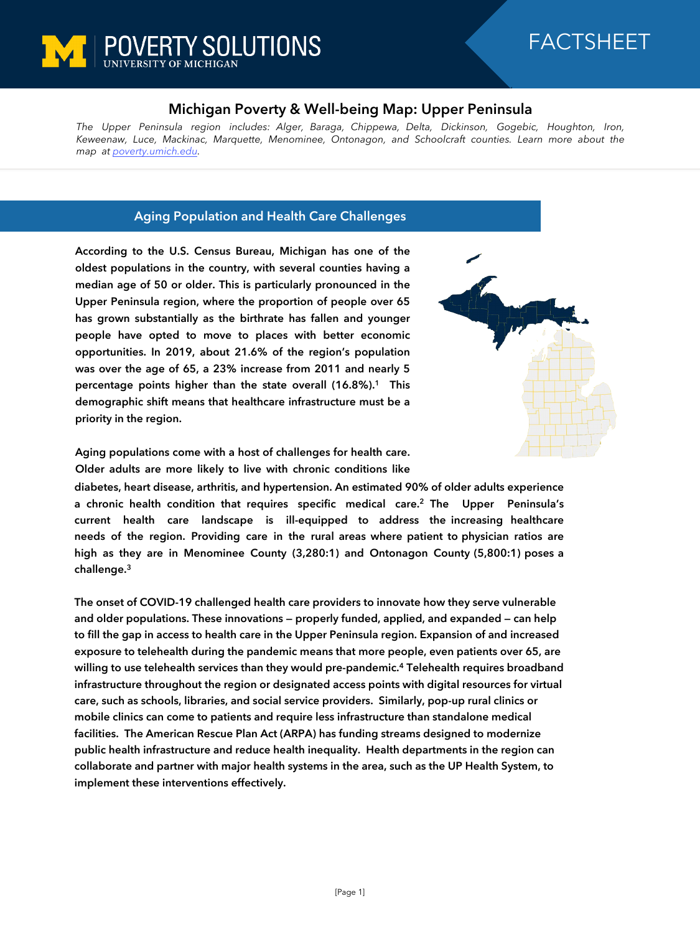

# FACTSHEET

### **Michigan Poverty & Well-being Map: Upper Peninsula**

*The Upper Peninsula region includes: Alger, Baraga, Chippewa, Delta, Dickinson, Gogebic, Houghton, Iron, Keweenaw, Luce, Mackinac, Marquette, Menominee, Ontonagon, and Schoolcraft counties. Learn more about the map at [poverty.umich.edu.](https://poverty.umich.edu/research-funding-opportunities/data-tools/michigan-poverty-well-being-map/)*

## **Aging Population and Health Care Challenges**

**According to the U.S. Census Bureau, Michigan has one of the oldest populations in the country, with several counties having a median age of 50 or older. This is particularly pronounced in the Upper Peninsula region, where the proportion of people over 65 has grown substantially as the birthrate has fallen and younger people have opted to move to places with better economic opportunities. In 2019, about 21.6% of the region's population was over the age of 65, a 23% increase from 2011 and nearly 5 percentage points higher than the state overall (16.8%).<sup>1</sup> This demographic shift means that healthcare infrastructure must be a priority in the region.**



**Aging populations come with a host of challenges for health care.** 

**Older adults are more likely to live with chronic conditions like** 

**diabetes, heart disease, arthritis, and hypertension. An estimated 90% of older adults experience a chronic health condition that requires specific medical care.<sup>2</sup> The Upper Peninsula's current health care landscape is ill-equipped to address the increasing healthcare needs of the region. Providing care in the rural areas where patient to physician ratios are high as they are in Menominee County (3,280:1) and Ontonagon County (5,800:1) poses a challenge.<sup>3</sup>** 

**The onset of COVID-19 challenged health care providers to innovate how they serve vulnerable and older populations. These innovations — properly funded, applied, and expanded — can help to fill the gap in access to health care in the Upper Peninsula region. Expansion of and increased exposure to telehealth during the pandemic means that more people, even patients over 65, are willing to use telehealth services than they would pre-pandemic.<sup>4</sup> Telehealth requires broadband infrastructure throughout the region or designated access points with digital resources for virtual care, such as schools, libraries, and social service providers. Similarly, pop-up rural clinics or mobile clinics can come to patients and require less infrastructure than standalone medical facilities. The American Rescue Plan Act (ARPA) has funding streams designed to modernize public health infrastructure and reduce health inequality. Health departments in the region can collaborate and partner with major health systems in the area, such as the UP Health System, to implement these interventions effectively.**